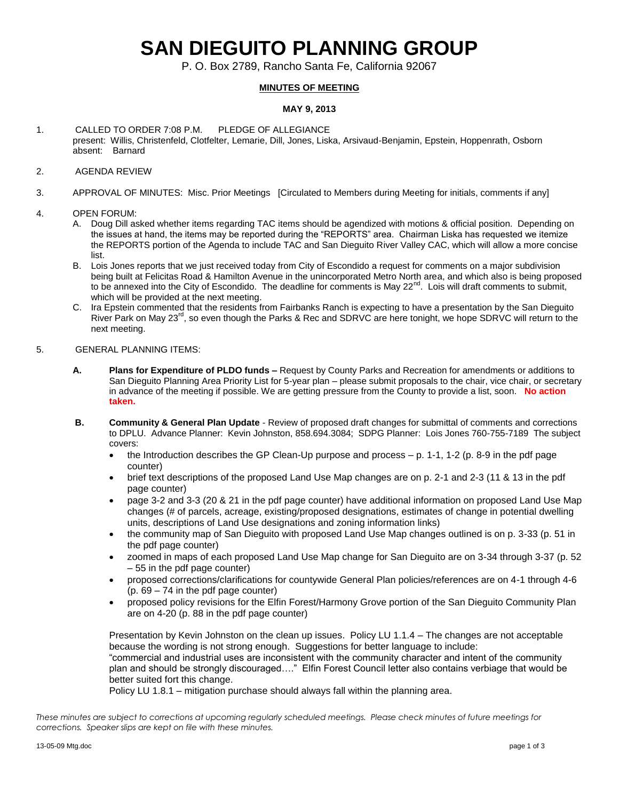# **SAN DIEGUITO PLANNING GROUP**

P. O. Box 2789, Rancho Santa Fe, California 92067

### **MINUTES OF MEETING**

#### **MAY 9, 2013**

- 1. CALLED TO ORDER 7:08 P.M. PLEDGE OF ALLEGIANCE present: Willis, Christenfeld, Clotfelter, Lemarie, Dill, Jones, Liska, Arsivaud-Benjamin, Epstein, Hoppenrath, Osborn absent: Barnard
- 2. AGENDA REVIEW
- 3. APPROVAL OF MINUTES: Misc. Prior Meetings [Circulated to Members during Meeting for initials, comments if any]
- 4. OPEN FORUM:
	- A. Doug Dill asked whether items regarding TAC items should be agendized with motions & official position. Depending on the issues at hand, the items may be reported during the "REPORTS" area. Chairman Liska has requested we itemize the REPORTS portion of the Agenda to include TAC and San Dieguito River Valley CAC, which will allow a more concise list.
	- B. Lois Jones reports that we just received today from City of Escondido a request for comments on a major subdivision being built at Felicitas Road & Hamilton Avenue in the unincorporated Metro North area, and which also is being proposed to be annexed into the City of Escondido. The deadline for comments is May 22<sup>nd</sup>. Lois will draft comments to submit, which will be provided at the next meeting.
	- C. Ira Epstein commented that the residents from Fairbanks Ranch is expecting to have a presentation by the San Dieguito River Park on May 23<sup>rd</sup>, so even though the Parks & Rec and SDRVC are here tonight, we hope SDRVC will return to the next meeting.
- 5. GENERAL PLANNING ITEMS:
	- **A. Plans for Expenditure of PLDO funds –** Request by County Parks and Recreation for amendments or additions to San Dieguito Planning Area Priority List for 5-year plan – please submit proposals to the chair, vice chair, or secretary in advance of the meeting if possible. We are getting pressure from the County to provide a list, soon. **No action taken.**
	- **B. Community & General Plan Update** Review of proposed draft changes for submittal of comments and corrections to DPLU. Advance Planner: Kevin Johnston, 858.694.3084; SDPG Planner: Lois Jones 760-755-7189 The subject covers:
		- $\bullet$  the Introduction describes the GP Clean-Up purpose and process  $p$ . 1-1, 1-2 (p. 8-9 in the pdf page counter)
		- brief text descriptions of the proposed Land Use Map changes are on p. 2-1 and 2-3 (11 & 13 in the pdf page counter)
		- page 3-2 and 3-3 (20 & 21 in the pdf page counter) have additional information on proposed Land Use Map changes (# of parcels, acreage, existing/proposed designations, estimates of change in potential dwelling units, descriptions of Land Use designations and zoning information links)
		- the community map of San Dieguito with proposed Land Use Map changes outlined is on p. 3-33 (p. 51 in the pdf page counter)
		- zoomed in maps of each proposed Land Use Map change for San Dieguito are on 3-34 through 3-37 (p. 52 – 55 in the pdf page counter)
		- proposed corrections/clarifications for countywide General Plan policies/references are on 4-1 through 4-6 (p. 69 – 74 in the pdf page counter)
		- proposed policy revisions for the Elfin Forest/Harmony Grove portion of the San Dieguito Community Plan are on 4-20 (p. 88 in the pdf page counter)

Presentation by Kevin Johnston on the clean up issues. Policy LU 1.1.4 – The changes are not acceptable because the wording is not strong enough. Suggestions for better language to include: "commercial and industrial uses are inconsistent with the community character and intent of the community plan and should be strongly discouraged…." Elfin Forest Council letter also contains verbiage that would be better suited fort this change.

Policy LU 1.8.1 – mitigation purchase should always fall within the planning area.

*These minutes are subject to corrections at upcoming regularly scheduled meetings. Please check minutes of future meetings for corrections. Speaker slips are kept on file with these minutes.*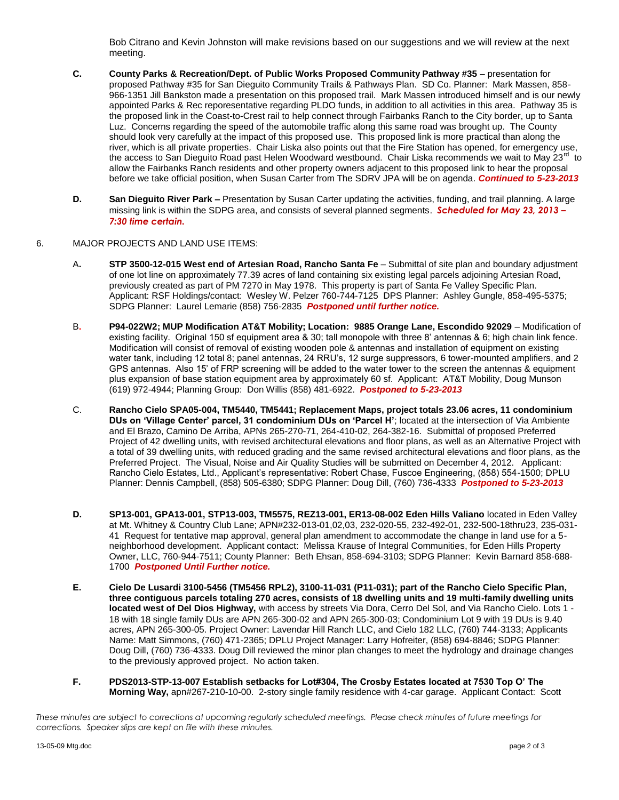Bob Citrano and Kevin Johnston will make revisions based on our suggestions and we will review at the next meeting.

- **C. County Parks & Recreation/Dept. of Public Works Proposed Community Pathway #35** presentation for proposed Pathway #35 for San Dieguito Community Trails & Pathways Plan. SD Co. Planner: Mark Massen, 858- 966-1351 Jill Bankston made a presentation on this proposed trail. Mark Massen introduced himself and is our newly appointed Parks & Rec reporesentative regarding PLDO funds, in addition to all activities in this area. Pathway 35 is the proposed link in the Coast-to-Crest rail to help connect through Fairbanks Ranch to the City border, up to Santa Luz. Concerns regarding the speed of the automobile traffic along this same road was brought up. The County should look very carefully at the impact of this proposed use. This proposed link is more practical than along the river, which is all private properties. Chair Liska also points out that the Fire Station has opened, for emergency use, the access to San Dieguito Road past Helen Woodward westbound. Chair Liska recommends we wait to May 23<sup>rd</sup> ' to allow the Fairbanks Ranch residents and other property owners adjacent to this proposed link to hear the proposal before we take official position, when Susan Carter from The SDRV JPA will be on agenda. *Continued to 5-23-2013*
- **D. San Dieguito River Park –** Presentation by Susan Carter updating the activities, funding, and trail planning. A large missing link is within the SDPG area, and consists of several planned segments. *Scheduled for May 23, 2013 – 7:30 time certain.*

#### 6. MAJOR PROJECTS AND LAND USE ITEMS:

- A**. STP 3500-12-015 West end of Artesian Road, Rancho Santa Fe** Submittal of site plan and boundary adjustment of one lot line on approximately 77.39 acres of land containing six existing legal parcels adjoining Artesian Road, previously created as part of PM 7270 in May 1978. This property is part of Santa Fe Valley Specific Plan. Applicant: RSF Holdings/contact: Wesley W. Pelzer 760-744-7125 DPS Planner: Ashley Gungle, 858-495-5375; SDPG Planner: Laurel Lemarie (858) 756-2835 *Postponed until further notice.*
- B**. P94-022W2; MUP Modification AT&T Mobility; Location: 9885 Orange Lane, Escondido 92029** Modification of existing facility. Original 150 sf equipment area & 30; tall monopole with three 8' antennas & 6; high chain link fence. Modification will consist of removal of existing wooden pole & antennas and installation of equipment on existing water tank, including 12 total 8; panel antennas, 24 RRU's, 12 surge suppressors, 6 tower-mounted amplifiers, and 2 GPS antennas. Also 15' of FRP screening will be added to the water tower to the screen the antennas & equipment plus expansion of base station equipment area by approximately 60 sf. Applicant: AT&T Mobility, Doug Munson (619) 972-4944; Planning Group: Don Willis (858) 481-6922. *Postponed to 5-23-2013*
- C. **Rancho Cielo SPA05-004, TM5440, TM5441; Replacement Maps, project totals 23.06 acres, 11 condominium DUs on 'Village Center' parcel, 31 condominium DUs on 'Parcel H'**; located at the intersection of Via Ambiente and El Brazo, Camino De Arriba, APNs 265-270-71, 264-410-02, 264-382-16. Submittal of proposed Preferred Project of 42 dwelling units, with revised architectural elevations and floor plans, as well as an Alternative Project with a total of 39 dwelling units, with reduced grading and the same revised architectural elevations and floor plans, as the Preferred Project. The Visual, Noise and Air Quality Studies will be submitted on December 4, 2012. Applicant: Rancho Cielo Estates, Ltd., Applicant's representative: Robert Chase, Fuscoe Engineering, (858) 554-1500; DPLU Planner: Dennis Campbell, (858) 505-6380; SDPG Planner: Doug Dill, (760) 736-4333 *Postponed to 5-23-2013*
- **D. SP13-001, GPA13-001, STP13-003, TM5575, REZ13-001, ER13-08-002 Eden Hills Valiano** located in Eden Valley at Mt. Whitney & Country Club Lane; APN#232-013-01,02,03, 232-020-55, 232-492-01, 232-500-18thru23, 235-031- 41 Request for tentative map approval, general plan amendment to accommodate the change in land use for a 5 neighborhood development. Applicant contact: Melissa Krause of Integral Communities, for Eden Hills Property Owner, LLC, 760-944-7511; County Planner: Beth Ehsan, 858-694-3103; SDPG Planner: Kevin Barnard 858-688- 1700 *Postponed Until Further notice.*
- **E. Cielo De Lusardi 3100-5456 (TM5456 RPL2), 3100-11-031 (P11-031); part of the Rancho Cielo Specific Plan, three contiguous parcels totaling 270 acres, consists of 18 dwelling units and 19 multi-family dwelling units located west of Del Dios Highway,** with access by streets Via Dora, Cerro Del Sol, and Via Rancho Cielo. Lots 1 - 18 with 18 single family DUs are APN 265-300-02 and APN 265-300-03; Condominium Lot 9 with 19 DUs is 9.40 acres, APN 265-300-05. Project Owner: Lavendar Hill Ranch LLC, and Cielo 182 LLC, (760) 744-3133; Applicants Name: Matt Simmons, (760) 471-2365; DPLU Project Manager: Larry Hofreiter, (858) 694-8846; SDPG Planner: Doug Dill, (760) 736-4333. Doug Dill reviewed the minor plan changes to meet the hydrology and drainage changes to the previously approved project. No action taken.
- **F. PDS2013-STP-13-007 Establish setbacks for Lot#304, The Crosby Estates located at 7530 Top O' The Morning Way,** apn#267-210-10-00. 2-story single family residence with 4-car garage. Applicant Contact: Scott

*These minutes are subject to corrections at upcoming regularly scheduled meetings. Please check minutes of future meetings for corrections. Speaker slips are kept on file with these minutes.*